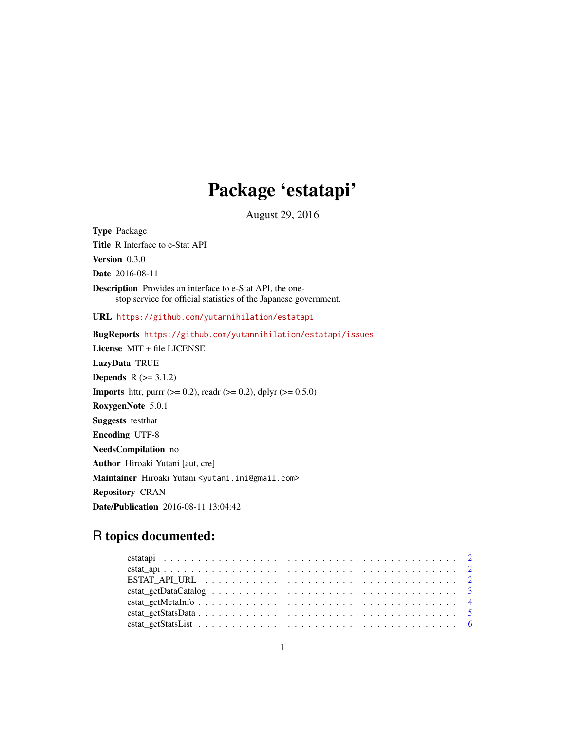## Package 'estatapi'

August 29, 2016

Type Package Title R Interface to e-Stat API Version 0.3.0 Date 2016-08-11 Description Provides an interface to e-Stat API, the onestop service for official statistics of the Japanese government. URL <https://github.com/yutannihilation/estatapi> BugReports <https://github.com/yutannihilation/estatapi/issues> License MIT + file LICENSE LazyData TRUE **Depends**  $R$  ( $>= 3.1.2$ ) **Imports** httr, purrr ( $>= 0.2$ ), readr ( $>= 0.2$ ), dplyr ( $>= 0.5.0$ ) RoxygenNote 5.0.1 Suggests testthat Encoding UTF-8 NeedsCompilation no Author Hiroaki Yutani [aut, cre] Maintainer Hiroaki Yutani <yutani.ini@gmail.com> Repository CRAN Date/Publication 2016-08-11 13:04:42

### R topics documented: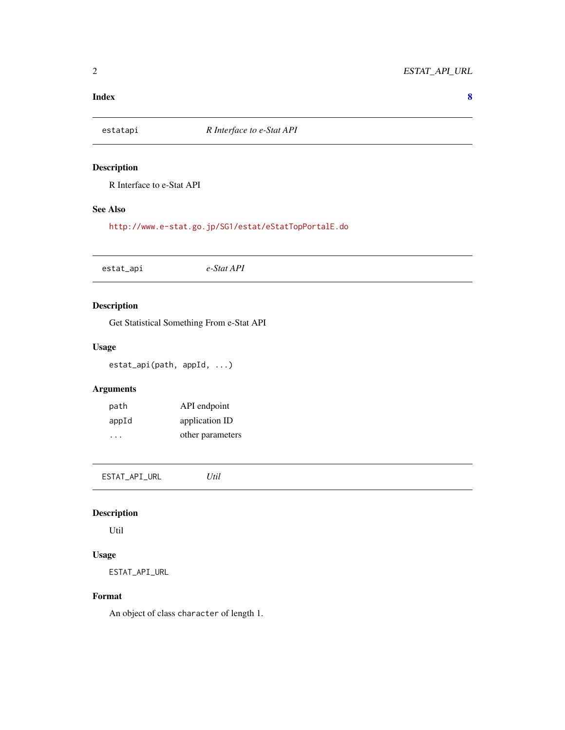#### <span id="page-1-0"></span>**Index** [8](#page-7-0) **8**

#### Description

R Interface to e-Stat API

#### See Also

<http://www.e-stat.go.jp/SG1/estat/eStatTopPortalE.do>

estat\_api *e-Stat API*

#### Description

Get Statistical Something From e-Stat API

#### Usage

estat\_api(path, appId, ...)

#### Arguments

| path  | API endpoint     |
|-------|------------------|
| appId | application ID   |
| .     | other parameters |

ESTAT\_API\_URL *Util*

#### Description

Util

#### Usage

ESTAT\_API\_URL

#### Format

An object of class character of length 1.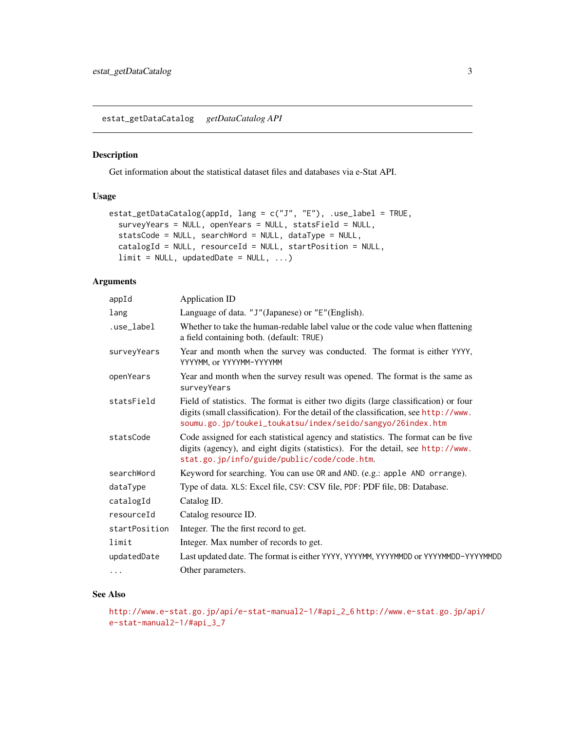<span id="page-2-0"></span>estat\_getDataCatalog *getDataCatalog API*

#### Description

Get information about the statistical dataset files and databases via e-Stat API.

#### Usage

```
estat_getDataCatalog(appId, lang = c("J", "E"), .use_label = TRUE,
  surveyYears = NULL, openYears = NULL, statsField = NULL,
  statsCode = NULL, searchWord = NULL, dataType = NULL,
 catalogId = NULL, resourceId = NULL, startPosition = NULL,
  limit = NULL, updatedbate = NULL, ...)
```
#### Arguments

| appId         | Application ID                                                                                                                                                                                                                            |
|---------------|-------------------------------------------------------------------------------------------------------------------------------------------------------------------------------------------------------------------------------------------|
| lang          | Language of data. "J"(Japanese) or "E"(English).                                                                                                                                                                                          |
| .use_label    | Whether to take the human-redable label value or the code value when flattening<br>a field containing both. (default: TRUE)                                                                                                               |
| surveyYears   | Year and month when the survey was conducted. The format is either YYYY,<br>YYYYMM, or YYYYMM-YYYYMM                                                                                                                                      |
| openYears     | Year and month when the survey result was opened. The format is the same as<br>surveyYears                                                                                                                                                |
| statsField    | Field of statistics. The format is either two digits (large classification) or four<br>digits (small classification). For the detail of the classification, see http://www.<br>soumu.go.jp/toukei_toukatsu/index/seido/sangyo/26index.htm |
| statsCode     | Code assigned for each statistical agency and statistics. The format can be five<br>digits (agency), and eight digits (statistics). For the detail, see http://www.<br>stat.go.jp/info/guide/public/code/code.htm.                        |
| searchWord    | Keyword for searching. You can use OR and AND. (e.g.: apple AND orrange).                                                                                                                                                                 |
| dataType      | Type of data. XLS: Excel file, CSV: CSV file, PDF: PDF file, DB: Database.                                                                                                                                                                |
| catalogId     | Catalog ID.                                                                                                                                                                                                                               |
| resourceId    | Catalog resource ID.                                                                                                                                                                                                                      |
| startPosition | Integer. The the first record to get.                                                                                                                                                                                                     |
| limit         | Integer. Max number of records to get.                                                                                                                                                                                                    |
| updatedDate   | Last updated date. The format is either YYYY, YYYYMM, YYYYMMDD or YYYYMMDD-YYYYMMDD                                                                                                                                                       |
| $\cdots$      | Other parameters.                                                                                                                                                                                                                         |

#### See Also

```
http://www.e-stat.go.jp/api/e-stat-manual2-1/#api_2_6 http://www.e-stat.go.jp/api/
e-stat-manual2-1/#api_3_7
```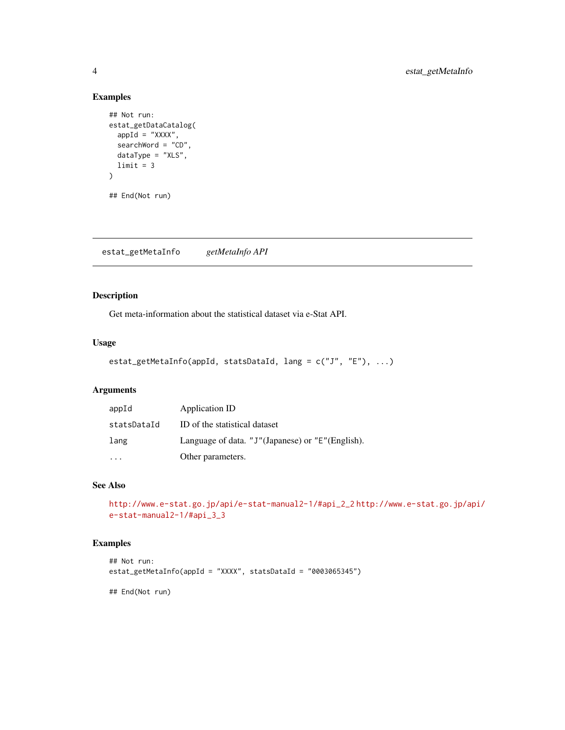#### Examples

```
## Not run:
estat_getDataCatalog(
 appId = "XXX",
  searchWord = "CD",
 dataType = "XLS",
  limit = 3)
## End(Not run)
```
estat\_getMetaInfo *getMetaInfo API*

#### Description

Get meta-information about the statistical dataset via e-Stat API.

#### Usage

```
estat_getMetaInfo(appId, statsDataId, lang = c("J", "E"), ...)
```
#### Arguments

| appId       | Application ID                                   |
|-------------|--------------------------------------------------|
| statsDataId | ID of the statistical dataset                    |
| lang        | Language of data. "J"(Japanese) or "E"(English). |
|             | Other parameters.                                |

#### See Also

```
http://www.e-stat.go.jp/api/e-stat-manual2-1/#api_2_2 http://www.e-stat.go.jp/api/
e-stat-manual2-1/#api_3_3
```
#### Examples

```
## Not run:
estat_getMetaInfo(appId = "XXXX", statsDataId = "0003065345")
## End(Not run)
```
<span id="page-3-0"></span>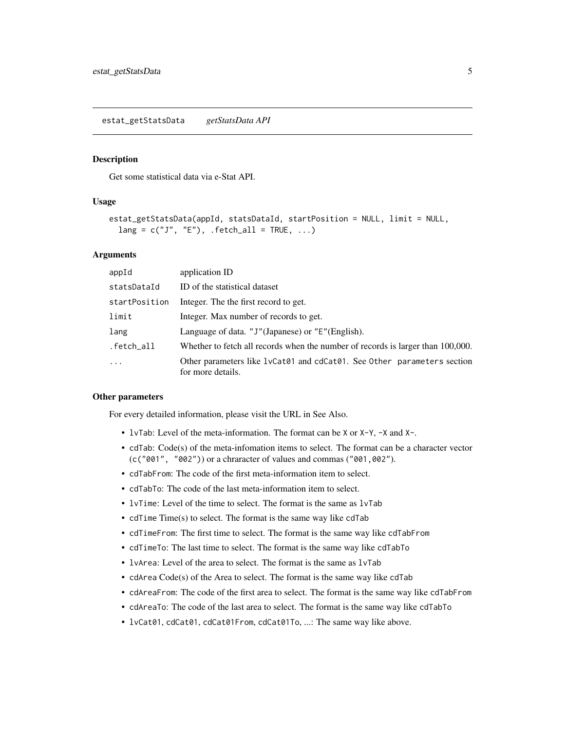#### <span id="page-4-0"></span>Description

Get some statistical data via e-Stat API.

#### Usage

```
estat_getStatsData(appId, statsDataId, startPosition = NULL, limit = NULL,
  lang = c("J", "E"), .fetch_all = TRUE, ...)
```
#### Arguments

| appId         | application ID                                                                                |
|---------------|-----------------------------------------------------------------------------------------------|
| statsDataId   | ID of the statistical dataset                                                                 |
| startPosition | Integer. The the first record to get.                                                         |
| limit         | Integer. Max number of records to get.                                                        |
| lang          | Language of data. "J"(Japanese) or "E"(English).                                              |
| .fetch_all    | Whether to fetch all records when the number of records is larger than 100,000.               |
| $\ddots$      | Other parameters like 1 vCat01 and cdCat01. See Other parameters section<br>for more details. |

#### Other parameters

For every detailed information, please visit the URL in See Also.

- lvTab: Level of the meta-information. The format can be X or X-Y, -X and X-.
- cdTab: Code(s) of the meta-infomation items to select. The format can be a character vector (c("001", "002")) or a chraracter of values and commas ("001,002").
- cdTabFrom: The code of the first meta-information item to select.
- cdTabTo: The code of the last meta-information item to select.
- lvTime: Level of the time to select. The format is the same as lvTab
- cdTime Time(s) to select. The format is the same way like cdTab
- cdTimeFrom: The first time to select. The format is the same way like cdTabFrom
- cdTimeTo: The last time to select. The format is the same way like cdTabTo
- lyarea: Level of the area to select. The format is the same as lyTab
- cdArea Code(s) of the Area to select. The format is the same way like cdTab
- cdAreaFrom: The code of the first area to select. The format is the same way like cdTabFrom
- cdAreaTo: The code of the last area to select. The format is the same way like cdTabTo
- lvCat01, cdCat01, cdCat01From, cdCat01To, ...: The same way like above.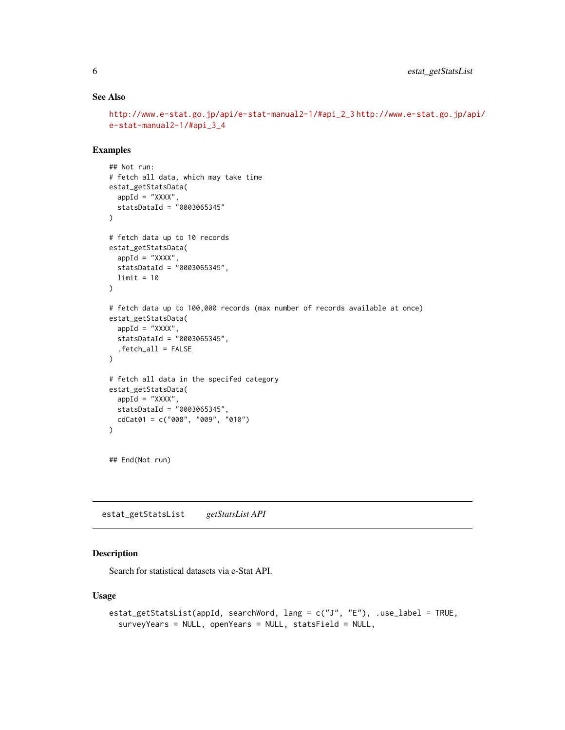#### See Also

```
http://www.e-stat.go.jp/api/e-stat-manual2-1/#api_2_3 http://www.e-stat.go.jp/api/
e-stat-manual2-1/#api_3_4
```
#### Examples

```
## Not run:
# fetch all data, which may take time
estat_getStatsData(
  appId = "XXX",
  statsDataId = "0003065345"
\lambda# fetch data up to 10 records
estat_getStatsData(
  appId = "XXX",statsDataId = "0003065345",
 limit = 10
)
# fetch data up to 100,000 records (max number of records available at once)
estat_getStatsData(
  appId = "XXX",
  statsDataId = "0003065345",
  .fetch_all = FALSE
\mathcal{L}# fetch all data in the specifed category
estat_getStatsData(
  appId = "XXXX",statsDataId = "0003065345",
  cdCat01 = c("008", "009", "010")
)
## End(Not run)
```
estat\_getStatsList *getStatsList API*

#### Description

Search for statistical datasets via e-Stat API.

#### Usage

```
estat_getStatsList(appId, searchWord, lang = c("J", "E"), .use_label = TRUE,
  surveyYears = NULL, openYears = NULL, statsField = NULL,
```
<span id="page-5-0"></span>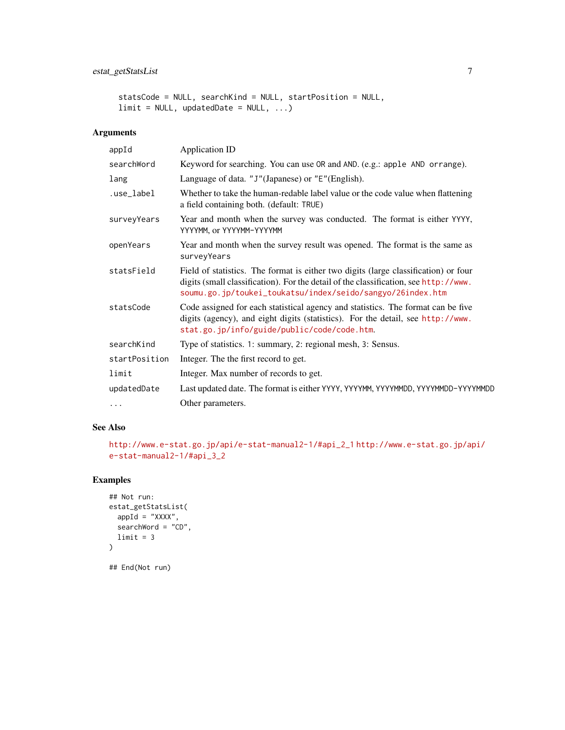#### estat\_getStatsList 7

```
statsCode = NULL, searchKind = NULL, startPosition = NULL,
limit = NULL, updatedbate = NULL, ...
```
#### Arguments

| appId         | <b>Application ID</b>                                                                                                                                                                                                                     |
|---------------|-------------------------------------------------------------------------------------------------------------------------------------------------------------------------------------------------------------------------------------------|
| searchWord    | Keyword for searching. You can use OR and AND. (e.g.: apple AND orrange).                                                                                                                                                                 |
| lang          | Language of data. "J"(Japanese) or "E"(English).                                                                                                                                                                                          |
| .use_label    | Whether to take the human-redable label value or the code value when flattening<br>a field containing both. (default: TRUE)                                                                                                               |
| surveyYears   | Year and month when the survey was conducted. The format is either YYYY,<br>YYYYMM, or YYYYMM-YYYYMM                                                                                                                                      |
| openYears     | Year and month when the survey result was opened. The format is the same as<br>surveyYears                                                                                                                                                |
| statsField    | Field of statistics. The format is either two digits (large classification) or four<br>digits (small classification). For the detail of the classification, see http://www.<br>soumu.go.jp/toukei_toukatsu/index/seido/sangyo/26index.htm |
| statsCode     | Code assigned for each statistical agency and statistics. The format can be five<br>digits (agency), and eight digits (statistics). For the detail, see http://www.<br>stat.go.jp/info/guide/public/code/code.htm.                        |
| searchKind    | Type of statistics. 1: summary, 2: regional mesh, 3: Sensus.                                                                                                                                                                              |
| startPosition | Integer. The the first record to get.                                                                                                                                                                                                     |
| limit         | Integer. Max number of records to get.                                                                                                                                                                                                    |
| updatedDate   | Last updated date. The format is either YYYY, YYYYMM, YYYYMMDD, YYYYMMDD-YYYYMMDD                                                                                                                                                         |
| $\cdots$      | Other parameters.                                                                                                                                                                                                                         |

#### See Also

```
http://www.e-stat.go.jp/api/e-stat-manual2-1/#api_2_1 http://www.e-stat.go.jp/api/
e-stat-manual2-1/#api_3_2
```
#### Examples

```
## Not run:
estat_getStatsList(
 appId = "XXXX",searchWord = "CD",
  limit = 3\mathcal{L}
```
## End(Not run)